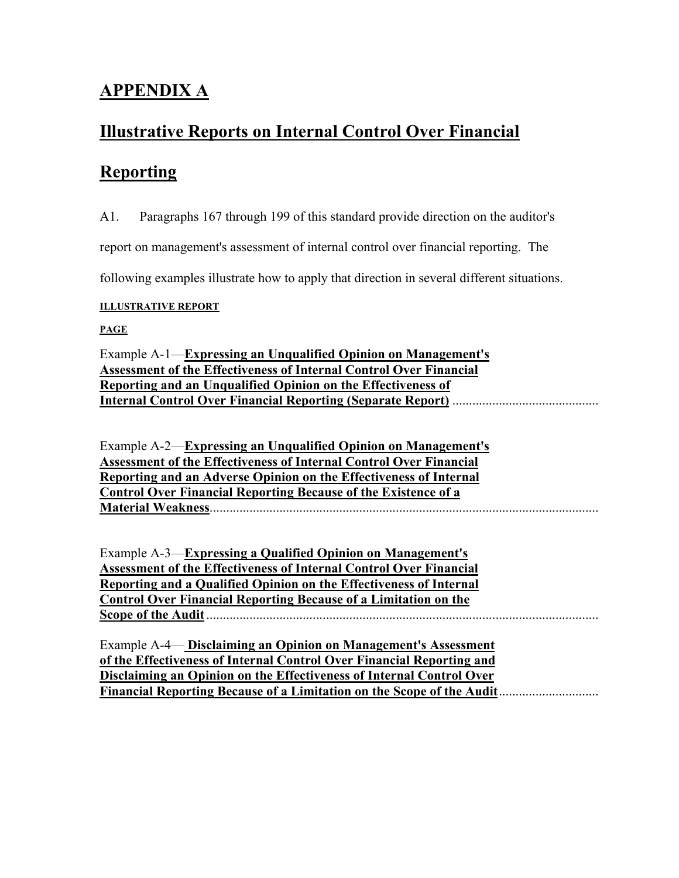# **APPENDIX A**

# **Illustrative Reports on Internal Control Over Financial**

# **Reporting**

A1. Paragraphs 167 through 199 of this standard provide direction on the auditor's

report on management's assessment of internal control over financial reporting. The

following examples illustrate how to apply that direction in several different situations.

### **ILLUSTRATIVE REPORT**

# **PAGE**

Example A-1—**Expressing an Unqualified Opinion on Management's Assessment of the Effectiveness of Internal Control Over Financial Reporting and an Unqualified Opinion on the Effectiveness of Internal Control Over Financial Reporting (Separate Report)** ............................................

Example A-2—**Expressing an Unqualified Opinion on Management's Assessment of the Effectiveness of Internal Control Over Financial Reporting and an Adverse Opinion on the Effectiveness of Internal Control Over Financial Reporting Because of the Existence of a Material Weakness**.....................................................................................................................

Example A-3—**Expressing a Qualified Opinion on Management's Assessment of the Effectiveness of Internal Control Over Financial Reporting and a Qualified Opinion on the Effectiveness of Internal Control Over Financial Reporting Because of a Limitation on the Scope of the Audit**......................................................................................................................

Example A-4— **Disclaiming an Opinion on Management's Assessment of the Effectiveness of Internal Control Over Financial Reporting and Disclaiming an Opinion on the Effectiveness of Internal Control Over Financial Reporting Because of a Limitation on the Scope of the Audit**..............................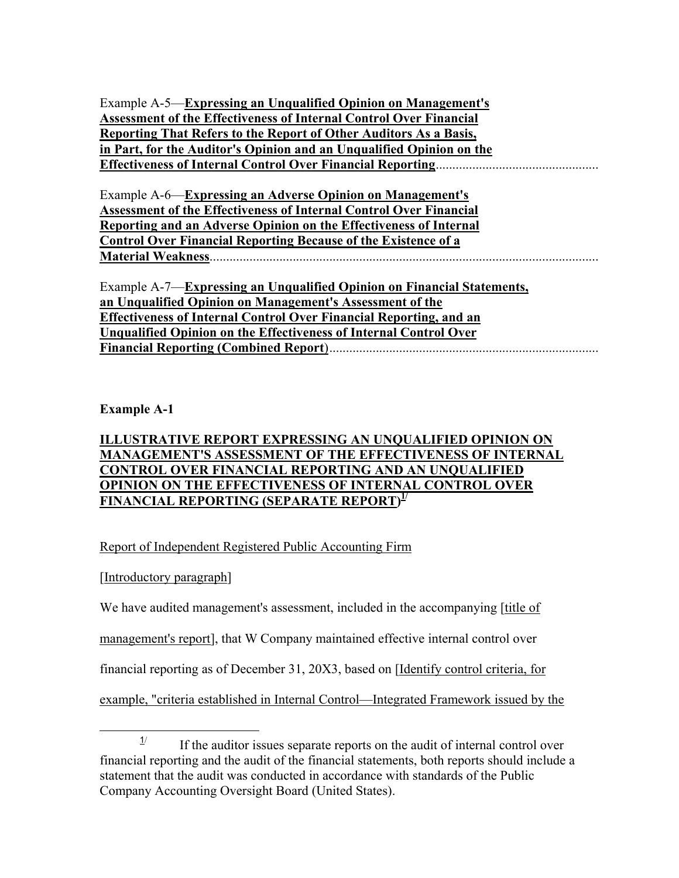Example A-5—**Expressing an Unqualified Opinion on Management's Assessment of the Effectiveness of Internal Control Over Financial Reporting That Refers to the Report of Other Auditors As a Basis, in Part, for the Auditor's Opinion and an Unqualified Opinion on the Effectiveness of Internal Control Over Financial Reporting**.................................................

Example A-6—**Expressing an Adverse Opinion on Management's Assessment of the Effectiveness of Internal Control Over Financial Reporting and an Adverse Opinion on the Effectiveness of Internal Control Over Financial Reporting Because of the Existence of a Material Weakness**.....................................................................................................................

Example A-7—**Expressing an Unqualified Opinion on Financial Statements, an Unqualified Opinion on Management's Assessment of the Effectiveness of Internal Control Over Financial Reporting, and an Unqualified Opinion on the Effectiveness of Internal Control Over Financial Reporting (Combined Report**).................................................................................

# **Example A-1**

# **ILLUSTRATIVE REPORT EXPRESSING AN UNQUALIFIED OPINION ON MANAGEMENT'S ASSESSMENT OF THE EFFECTIVENESS OF INTERNAL CONTROL OVER FINANCIAL REPORTING AND AN UNQUALIFIED OPINION ON THE EFFECTIVENESS OF INTERNAL CONTROL OVER FINANCIAL REPORTING (SEPARATE REPORT) 1/**

# Report of Independent Registered Public Accounting Firm

# [Introductory paragraph]

We have audited management's assessment, included in the accompanying [title of

management's report], that W Company maintained effective internal control over

financial reporting as of December 31, 20X3, based on [Identify control criteria, for

example, "criteria established in Internal Control—Integrated Framework issued by the

 $\frac{1}{2}$  $\frac{1}{1}$  If the auditor issues separate reports on the audit of internal control over financial reporting and the audit of the financial statements, both reports should include a statement that the audit was conducted in accordance with standards of the Public Company Accounting Oversight Board (United States).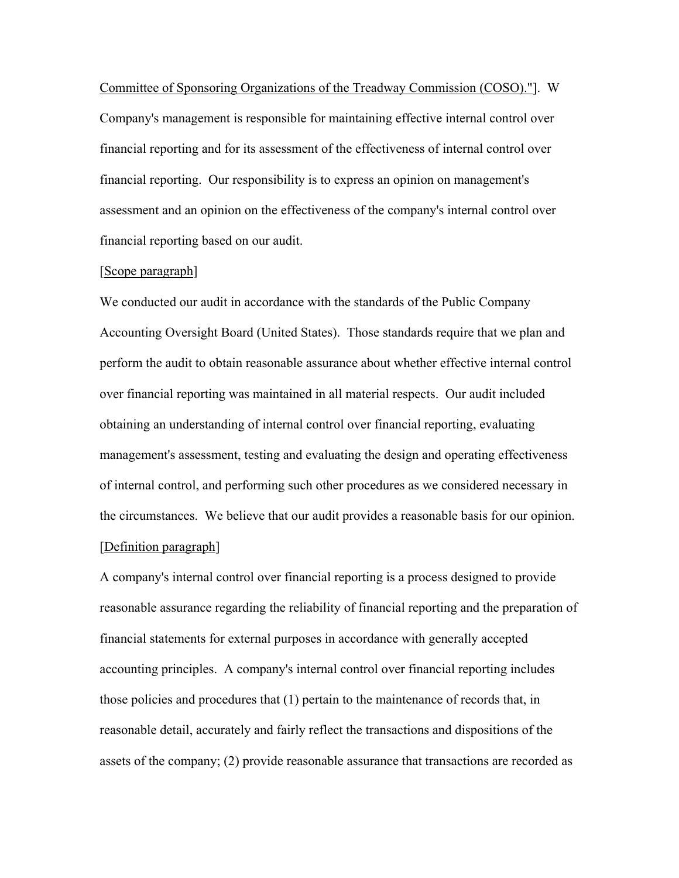Committee of Sponsoring Organizations of the Treadway Commission (COSO)."]. W Company's management is responsible for maintaining effective internal control over financial reporting and for its assessment of the effectiveness of internal control over financial reporting. Our responsibility is to express an opinion on management's assessment and an opinion on the effectiveness of the company's internal control over financial reporting based on our audit.

#### [Scope paragraph]

We conducted our audit in accordance with the standards of the Public Company Accounting Oversight Board (United States). Those standards require that we plan and perform the audit to obtain reasonable assurance about whether effective internal control over financial reporting was maintained in all material respects. Our audit included obtaining an understanding of internal control over financial reporting, evaluating management's assessment, testing and evaluating the design and operating effectiveness of internal control, and performing such other procedures as we considered necessary in the circumstances. We believe that our audit provides a reasonable basis for our opinion. [Definition paragraph]

A company's internal control over financial reporting is a process designed to provide reasonable assurance regarding the reliability of financial reporting and the preparation of financial statements for external purposes in accordance with generally accepted accounting principles. A company's internal control over financial reporting includes those policies and procedures that (1) pertain to the maintenance of records that, in reasonable detail, accurately and fairly reflect the transactions and dispositions of the assets of the company; (2) provide reasonable assurance that transactions are recorded as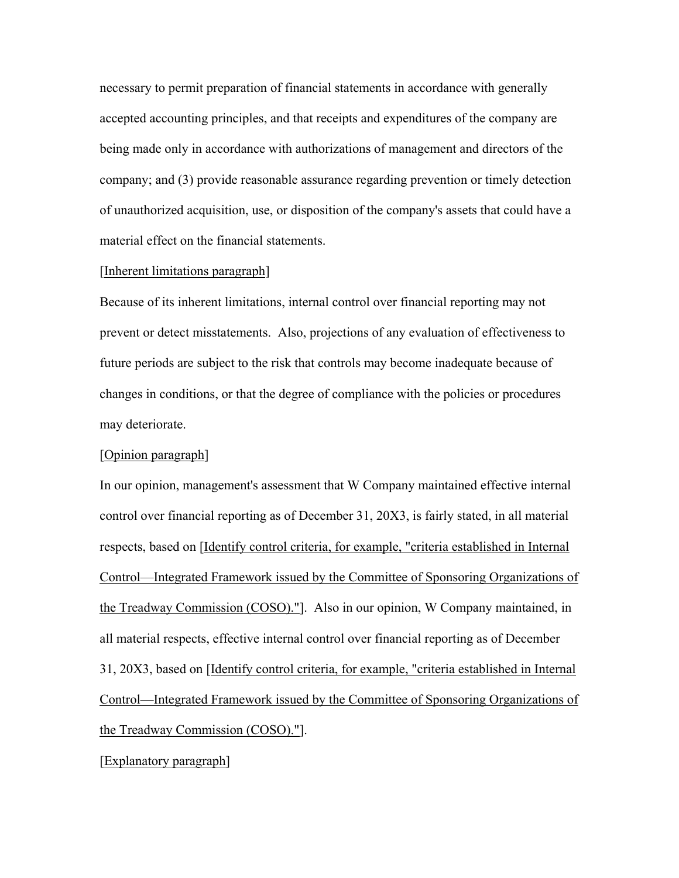necessary to permit preparation of financial statements in accordance with generally accepted accounting principles, and that receipts and expenditures of the company are being made only in accordance with authorizations of management and directors of the company; and (3) provide reasonable assurance regarding prevention or timely detection of unauthorized acquisition, use, or disposition of the company's assets that could have a material effect on the financial statements.

#### [Inherent limitations paragraph]

Because of its inherent limitations, internal control over financial reporting may not prevent or detect misstatements. Also, projections of any evaluation of effectiveness to future periods are subject to the risk that controls may become inadequate because of changes in conditions, or that the degree of compliance with the policies or procedures may deteriorate.

#### [Opinion paragraph]

In our opinion, management's assessment that W Company maintained effective internal control over financial reporting as of December 31, 20X3, is fairly stated, in all material respects, based on [Identify control criteria, for example, "criteria established in Internal Control—Integrated Framework issued by the Committee of Sponsoring Organizations of the Treadway Commission (COSO)."]. Also in our opinion, W Company maintained, in all material respects, effective internal control over financial reporting as of December 31, 20X3, based on [Identify control criteria, for example, "criteria established in Internal Control—Integrated Framework issued by the Committee of Sponsoring Organizations of the Treadway Commission (COSO)."].

[Explanatory paragraph]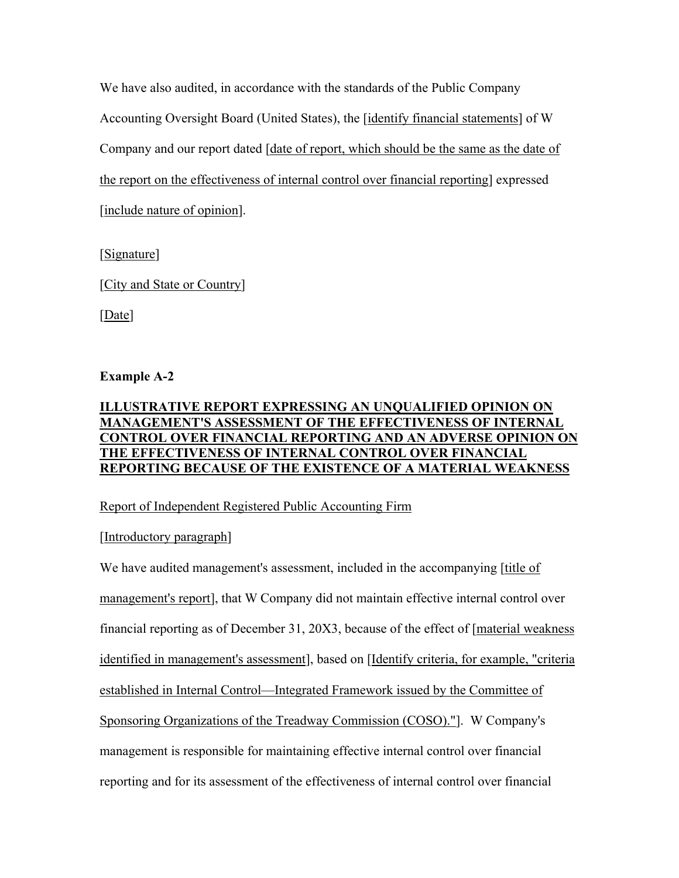We have also audited, in accordance with the standards of the Public Company Accounting Oversight Board (United States), the [identify financial statements] of W Company and our report dated [date of report, which should be the same as the date of the report on the effectiveness of internal control over financial reporting] expressed [include nature of opinion].

[Signature]

[City and State or Country]

[Date]

# **Example A-2**

# **ILLUSTRATIVE REPORT EXPRESSING AN UNQUALIFIED OPINION ON MANAGEMENT'S ASSESSMENT OF THE EFFECTIVENESS OF INTERNAL CONTROL OVER FINANCIAL REPORTING AND AN ADVERSE OPINION ON THE EFFECTIVENESS OF INTERNAL CONTROL OVER FINANCIAL REPORTING BECAUSE OF THE EXISTENCE OF A MATERIAL WEAKNESS**

# Report of Independent Registered Public Accounting Firm

# [Introductory paragraph]

We have audited management's assessment, included in the accompanying [title of management's report], that W Company did not maintain effective internal control over financial reporting as of December 31, 20X3, because of the effect of [material weakness identified in management's assessment], based on [Identify criteria, for example, "criteria established in Internal Control—Integrated Framework issued by the Committee of Sponsoring Organizations of the Treadway Commission (COSO)."]. W Company's management is responsible for maintaining effective internal control over financial reporting and for its assessment of the effectiveness of internal control over financial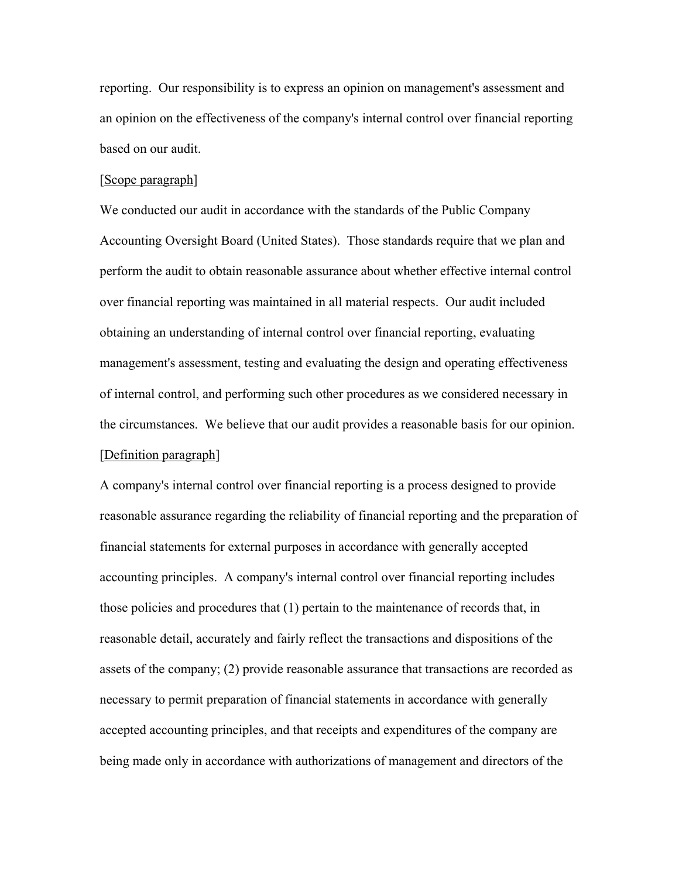reporting. Our responsibility is to express an opinion on management's assessment and an opinion on the effectiveness of the company's internal control over financial reporting based on our audit.

#### [Scope paragraph]

We conducted our audit in accordance with the standards of the Public Company Accounting Oversight Board (United States). Those standards require that we plan and perform the audit to obtain reasonable assurance about whether effective internal control over financial reporting was maintained in all material respects. Our audit included obtaining an understanding of internal control over financial reporting, evaluating management's assessment, testing and evaluating the design and operating effectiveness of internal control, and performing such other procedures as we considered necessary in the circumstances. We believe that our audit provides a reasonable basis for our opinion. [Definition paragraph]

A company's internal control over financial reporting is a process designed to provide reasonable assurance regarding the reliability of financial reporting and the preparation of financial statements for external purposes in accordance with generally accepted accounting principles. A company's internal control over financial reporting includes those policies and procedures that (1) pertain to the maintenance of records that, in reasonable detail, accurately and fairly reflect the transactions and dispositions of the assets of the company; (2) provide reasonable assurance that transactions are recorded as necessary to permit preparation of financial statements in accordance with generally accepted accounting principles, and that receipts and expenditures of the company are being made only in accordance with authorizations of management and directors of the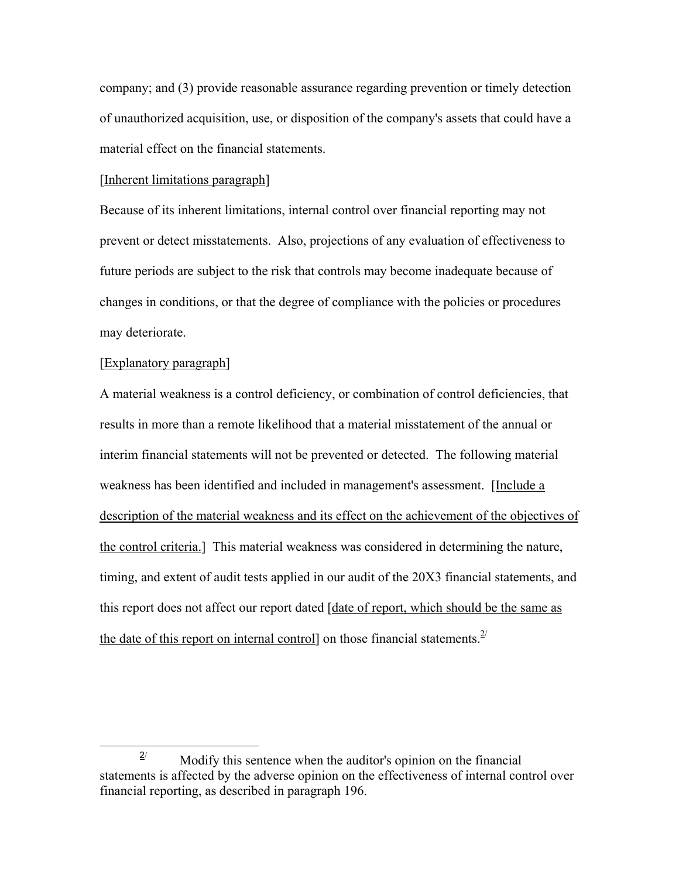company; and (3) provide reasonable assurance regarding prevention or timely detection of unauthorized acquisition, use, or disposition of the company's assets that could have a material effect on the financial statements.

#### [Inherent limitations paragraph]

Because of its inherent limitations, internal control over financial reporting may not prevent or detect misstatements. Also, projections of any evaluation of effectiveness to future periods are subject to the risk that controls may become inadequate because of changes in conditions, or that the degree of compliance with the policies or procedures may deteriorate.

#### [Explanatory paragraph]

A material weakness is a control deficiency, or combination of control deficiencies, that results in more than a remote likelihood that a material misstatement of the annual or interim financial statements will not be prevented or detected. The following material weakness has been identified and included in management's assessment. [Include a description of the material weakness and its effect on the achievement of the objectives of the control criteria.] This material weakness was considered in determining the nature, timing, and extent of audit tests applied in our audit of the 20X3 financial statements, and this report does not affect our report dated [date of report, which should be the same as the date of this report on internal control] on those financial statements.  $2^{2}$ 

 $\frac{2}{2}$  $\frac{2}{3}$  Modify this sentence when the auditor's opinion on the financial statements is affected by the adverse opinion on the effectiveness of internal control over financial reporting, as described in paragraph 196.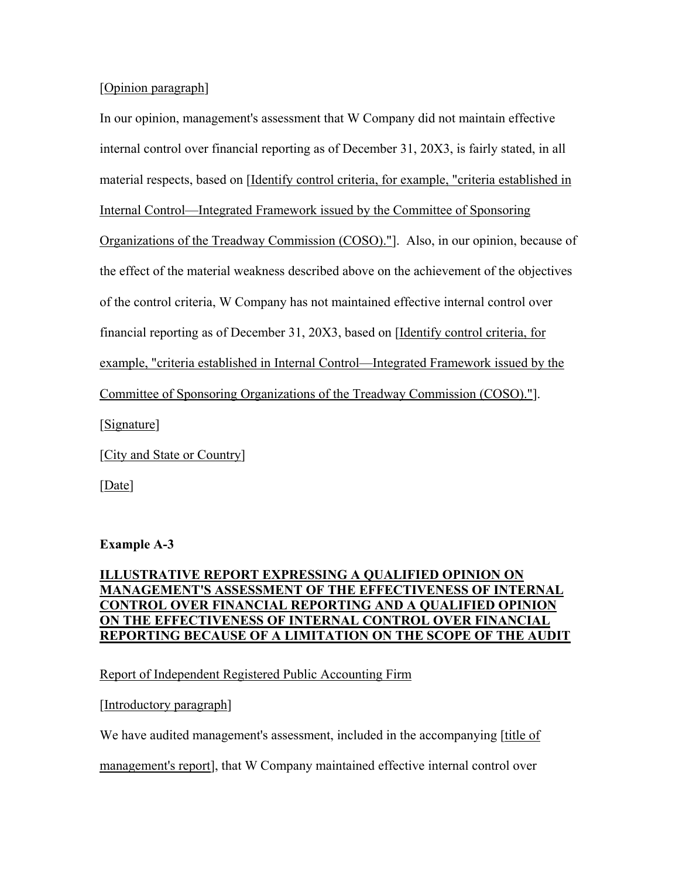### [Opinion paragraph]

In our opinion, management's assessment that W Company did not maintain effective internal control over financial reporting as of December 31, 20X3, is fairly stated, in all material respects, based on [Identify control criteria, for example, "criteria established in Internal Control—Integrated Framework issued by the Committee of Sponsoring Organizations of the Treadway Commission (COSO)."]. Also, in our opinion, because of the effect of the material weakness described above on the achievement of the objectives of the control criteria, W Company has not maintained effective internal control over financial reporting as of December 31, 20X3, based on [Identify control criteria, for example, "criteria established in Internal Control—Integrated Framework issued by the Committee of Sponsoring Organizations of the Treadway Commission (COSO)."]. [Signature]

[City and State or Country]

[Date]

# **Example A-3**

# **ILLUSTRATIVE REPORT EXPRESSING A QUALIFIED OPINION ON MANAGEMENT'S ASSESSMENT OF THE EFFECTIVENESS OF INTERNAL CONTROL OVER FINANCIAL REPORTING AND A QUALIFIED OPINION ON THE EFFECTIVENESS OF INTERNAL CONTROL OVER FINANCIAL REPORTING BECAUSE OF A LIMITATION ON THE SCOPE OF THE AUDIT**

# Report of Independent Registered Public Accounting Firm

# [Introductory paragraph]

We have audited management's assessment, included in the accompanying [title of

management's report], that W Company maintained effective internal control over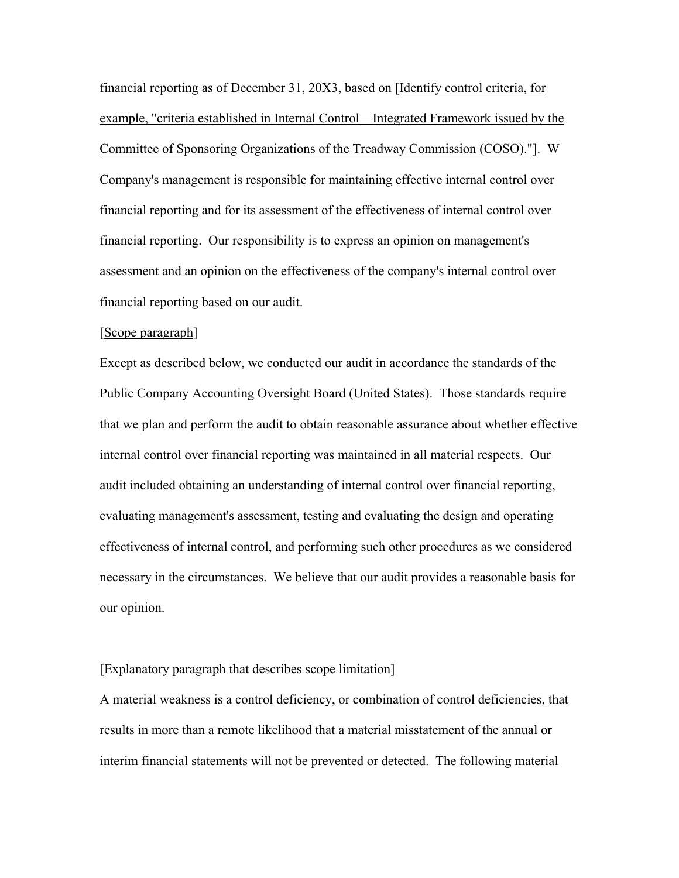financial reporting as of December 31, 20X3, based on [Identify control criteria, for example, "criteria established in Internal Control—Integrated Framework issued by the Committee of Sponsoring Organizations of the Treadway Commission (COSO)."]. W Company's management is responsible for maintaining effective internal control over financial reporting and for its assessment of the effectiveness of internal control over financial reporting. Our responsibility is to express an opinion on management's assessment and an opinion on the effectiveness of the company's internal control over financial reporting based on our audit.

#### [Scope paragraph]

Except as described below, we conducted our audit in accordance the standards of the Public Company Accounting Oversight Board (United States). Those standards require that we plan and perform the audit to obtain reasonable assurance about whether effective internal control over financial reporting was maintained in all material respects. Our audit included obtaining an understanding of internal control over financial reporting, evaluating management's assessment, testing and evaluating the design and operating effectiveness of internal control, and performing such other procedures as we considered necessary in the circumstances. We believe that our audit provides a reasonable basis for our opinion.

#### [Explanatory paragraph that describes scope limitation]

A material weakness is a control deficiency, or combination of control deficiencies, that results in more than a remote likelihood that a material misstatement of the annual or interim financial statements will not be prevented or detected. The following material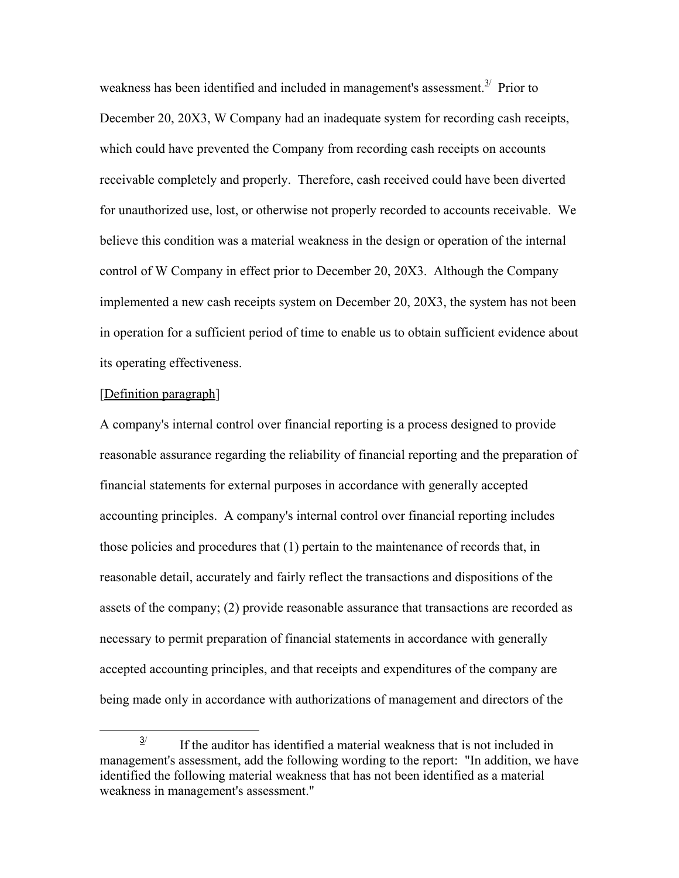weakness has been identified and included in management's assessment. $3/$  Prior to December 20, 20X3, W Company had an inadequate system for recording cash receipts, which could have prevented the Company from recording cash receipts on accounts receivable completely and properly. Therefore, cash received could have been diverted for unauthorized use, lost, or otherwise not properly recorded to accounts receivable. We believe this condition was a material weakness in the design or operation of the internal control of W Company in effect prior to December 20, 20X3. Although the Company implemented a new cash receipts system on December 20, 20X3, the system has not been in operation for a sufficient period of time to enable us to obtain sufficient evidence about its operating effectiveness.

#### [Definition paragraph]

A company's internal control over financial reporting is a process designed to provide reasonable assurance regarding the reliability of financial reporting and the preparation of financial statements for external purposes in accordance with generally accepted accounting principles. A company's internal control over financial reporting includes those policies and procedures that (1) pertain to the maintenance of records that, in reasonable detail, accurately and fairly reflect the transactions and dispositions of the assets of the company; (2) provide reasonable assurance that transactions are recorded as necessary to permit preparation of financial statements in accordance with generally accepted accounting principles, and that receipts and expenditures of the company are being made only in accordance with authorizations of management and directors of the

 $\frac{3}{2}$  $\frac{3}{2}$  If the auditor has identified a material weakness that is not included in management's assessment, add the following wording to the report: "In addition, we have identified the following material weakness that has not been identified as a material weakness in management's assessment."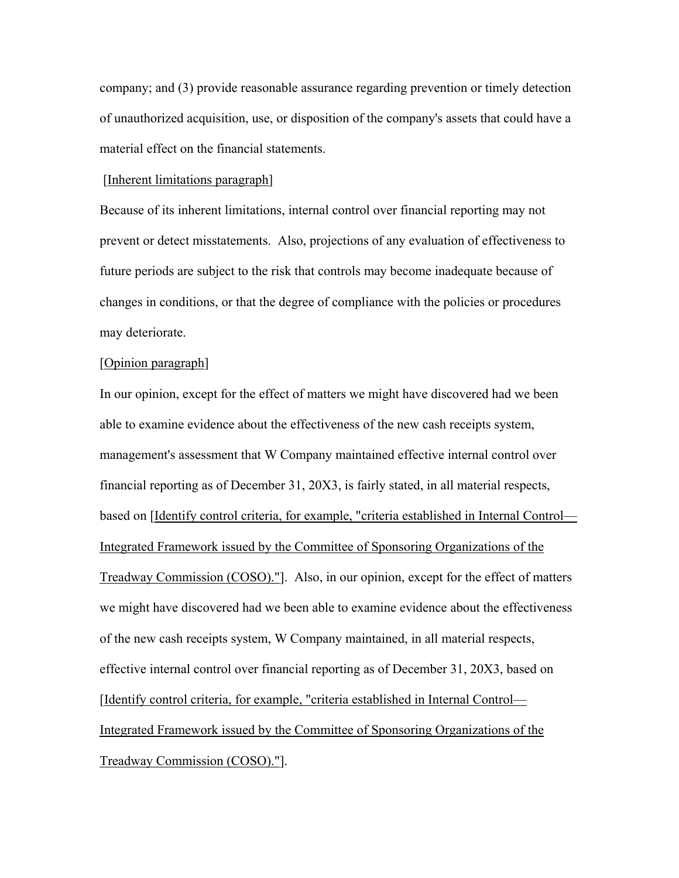company; and (3) provide reasonable assurance regarding prevention or timely detection of unauthorized acquisition, use, or disposition of the company's assets that could have a material effect on the financial statements.

#### [Inherent limitations paragraph]

Because of its inherent limitations, internal control over financial reporting may not prevent or detect misstatements. Also, projections of any evaluation of effectiveness to future periods are subject to the risk that controls may become inadequate because of changes in conditions, or that the degree of compliance with the policies or procedures may deteriorate.

#### [Opinion paragraph]

In our opinion, except for the effect of matters we might have discovered had we been able to examine evidence about the effectiveness of the new cash receipts system, management's assessment that W Company maintained effective internal control over financial reporting as of December 31, 20X3, is fairly stated, in all material respects, based on [Identify control criteria, for example, "criteria established in Internal Control— Integrated Framework issued by the Committee of Sponsoring Organizations of the Treadway Commission (COSO)."]. Also, in our opinion, except for the effect of matters we might have discovered had we been able to examine evidence about the effectiveness of the new cash receipts system, W Company maintained, in all material respects, effective internal control over financial reporting as of December 31, 20X3, based on [Identify control criteria, for example, "criteria established in Internal Control— Integrated Framework issued by the Committee of Sponsoring Organizations of the Treadway Commission (COSO)."].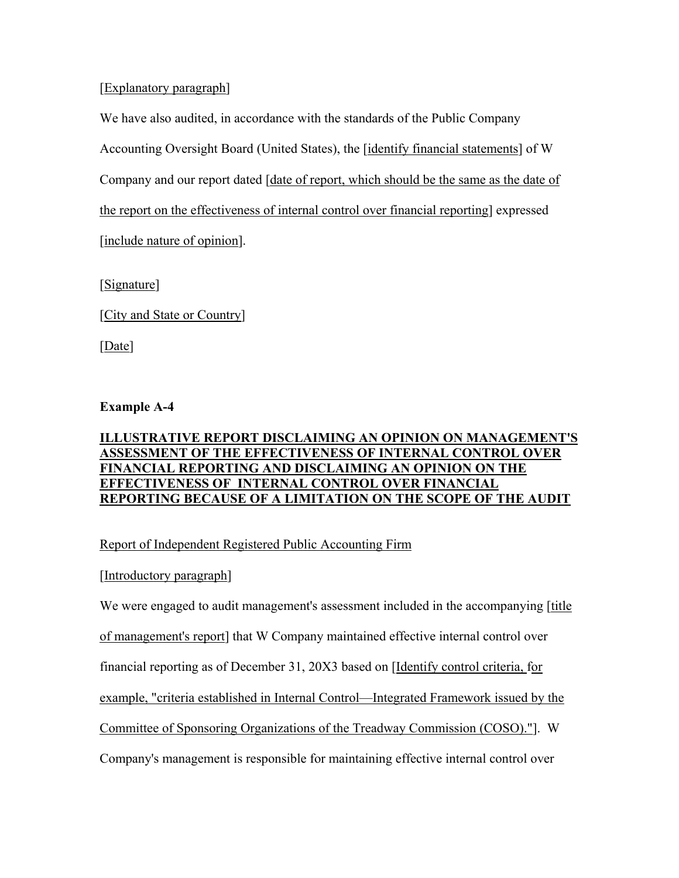[Explanatory paragraph]

We have also audited, in accordance with the standards of the Public Company

Accounting Oversight Board (United States), the [identify financial statements] of W

Company and our report dated [date of report, which should be the same as the date of

the report on the effectiveness of internal control over financial reporting] expressed

[include nature of opinion].

[Signature]

[City and State or Country]

[Date]

# **Example A-4**

# **ILLUSTRATIVE REPORT DISCLAIMING AN OPINION ON MANAGEMENT'S ASSESSMENT OF THE EFFECTIVENESS OF INTERNAL CONTROL OVER FINANCIAL REPORTING AND DISCLAIMING AN OPINION ON THE EFFECTIVENESS OF INTERNAL CONTROL OVER FINANCIAL REPORTING BECAUSE OF A LIMITATION ON THE SCOPE OF THE AUDIT**

# Report of Independent Registered Public Accounting Firm

# [Introductory paragraph]

We were engaged to audit management's assessment included in the accompanying [title of management's report] that W Company maintained effective internal control over financial reporting as of December 31, 20X3 based on [Identify control criteria, for example, "criteria established in Internal Control—Integrated Framework issued by the Committee of Sponsoring Organizations of the Treadway Commission (COSO)."]. W Company's management is responsible for maintaining effective internal control over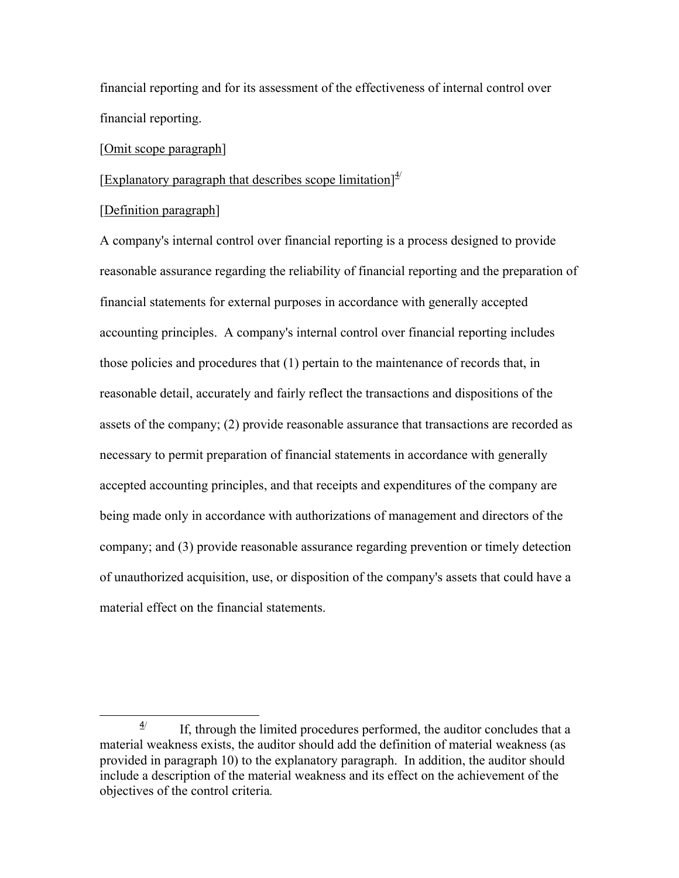financial reporting and for its assessment of the effectiveness of internal control over financial reporting.

#### [Omit scope paragraph]

# [Explanatory paragraph that describes scope limitation] $4$

#### [Definition paragraph]

A company's internal control over financial reporting is a process designed to provide reasonable assurance regarding the reliability of financial reporting and the preparation of financial statements for external purposes in accordance with generally accepted accounting principles. A company's internal control over financial reporting includes those policies and procedures that (1) pertain to the maintenance of records that, in reasonable detail, accurately and fairly reflect the transactions and dispositions of the assets of the company; (2) provide reasonable assurance that transactions are recorded as necessary to permit preparation of financial statements in accordance with generally accepted accounting principles, and that receipts and expenditures of the company are being made only in accordance with authorizations of management and directors of the company; and (3) provide reasonable assurance regarding prevention or timely detection of unauthorized acquisition, use, or disposition of the company's assets that could have a material effect on the financial statements.

<sup>4</sup>/ If, through the limited procedures performed, the auditor concludes that a material weakness exists, the auditor should add the definition of material weakness (as provided in paragraph 10) to the explanatory paragraph. In addition, the auditor should include a description of the material weakness and its effect on the achievement of the objectives of the control criteria*.*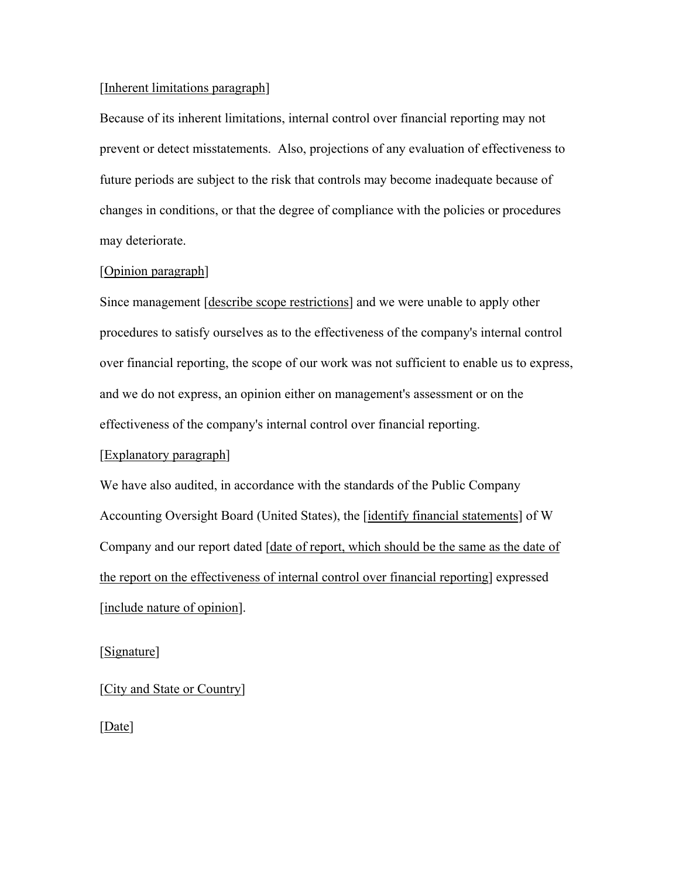### [Inherent limitations paragraph]

Because of its inherent limitations, internal control over financial reporting may not prevent or detect misstatements. Also, projections of any evaluation of effectiveness to future periods are subject to the risk that controls may become inadequate because of changes in conditions, or that the degree of compliance with the policies or procedures may deteriorate.

### [Opinion paragraph]

Since management [describe scope restrictions] and we were unable to apply other procedures to satisfy ourselves as to the effectiveness of the company's internal control over financial reporting, the scope of our work was not sufficient to enable us to express, and we do not express, an opinion either on management's assessment or on the effectiveness of the company's internal control over financial reporting.

#### [Explanatory paragraph]

We have also audited, in accordance with the standards of the Public Company Accounting Oversight Board (United States), the [identify financial statements] of W Company and our report dated [date of report, which should be the same as the date of the report on the effectiveness of internal control over financial reporting] expressed [include nature of opinion].

### [Signature]

[City and State or Country]

[Date]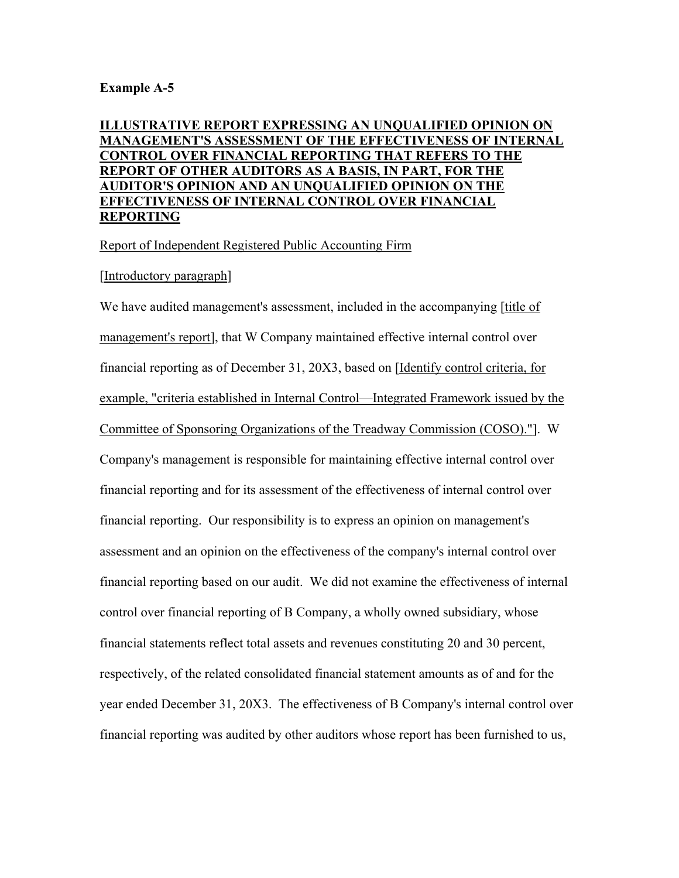### **Example A-5**

### **ILLUSTRATIVE REPORT EXPRESSING AN UNQUALIFIED OPINION ON MANAGEMENT'S ASSESSMENT OF THE EFFECTIVENESS OF INTERNAL CONTROL OVER FINANCIAL REPORTING THAT REFERS TO THE REPORT OF OTHER AUDITORS AS A BASIS, IN PART, FOR THE AUDITOR'S OPINION AND AN UNQUALIFIED OPINION ON THE EFFECTIVENESS OF INTERNAL CONTROL OVER FINANCIAL REPORTING**

Report of Independent Registered Public Accounting Firm

### [Introductory paragraph]

We have audited management's assessment, included in the accompanying [title of management's report], that W Company maintained effective internal control over financial reporting as of December 31, 20X3, based on [Identify control criteria, for example, "criteria established in Internal Control—Integrated Framework issued by the Committee of Sponsoring Organizations of the Treadway Commission (COSO)."]. W Company's management is responsible for maintaining effective internal control over financial reporting and for its assessment of the effectiveness of internal control over financial reporting. Our responsibility is to express an opinion on management's assessment and an opinion on the effectiveness of the company's internal control over financial reporting based on our audit. We did not examine the effectiveness of internal control over financial reporting of B Company, a wholly owned subsidiary, whose financial statements reflect total assets and revenues constituting 20 and 30 percent, respectively, of the related consolidated financial statement amounts as of and for the year ended December 31, 20X3. The effectiveness of B Company's internal control over financial reporting was audited by other auditors whose report has been furnished to us,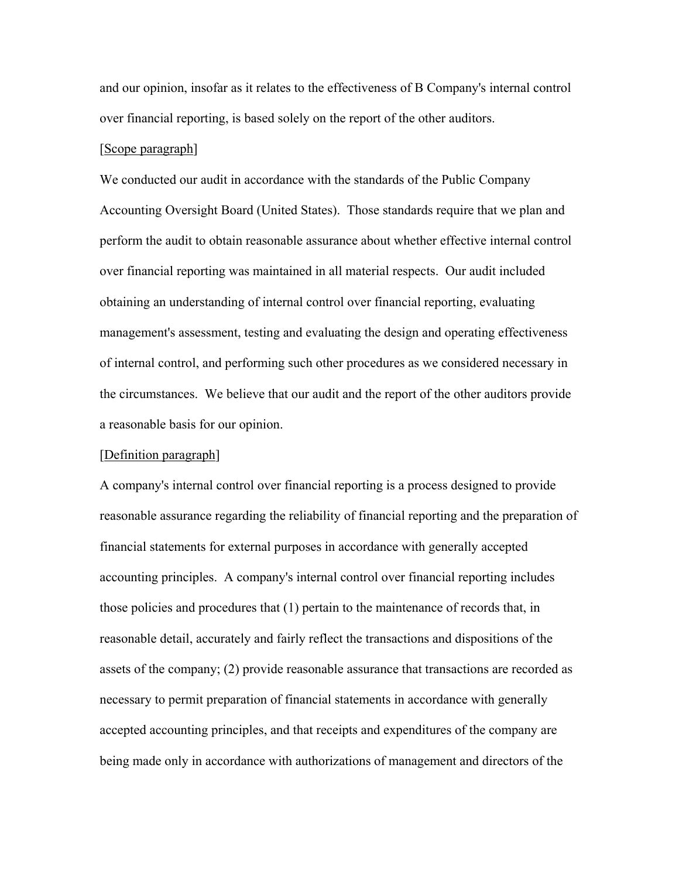and our opinion, insofar as it relates to the effectiveness of B Company's internal control over financial reporting, is based solely on the report of the other auditors.

#### [Scope paragraph]

We conducted our audit in accordance with the standards of the Public Company Accounting Oversight Board (United States). Those standards require that we plan and perform the audit to obtain reasonable assurance about whether effective internal control over financial reporting was maintained in all material respects. Our audit included obtaining an understanding of internal control over financial reporting, evaluating management's assessment, testing and evaluating the design and operating effectiveness of internal control, and performing such other procedures as we considered necessary in the circumstances. We believe that our audit and the report of the other auditors provide a reasonable basis for our opinion.

#### [Definition paragraph]

A company's internal control over financial reporting is a process designed to provide reasonable assurance regarding the reliability of financial reporting and the preparation of financial statements for external purposes in accordance with generally accepted accounting principles. A company's internal control over financial reporting includes those policies and procedures that (1) pertain to the maintenance of records that, in reasonable detail, accurately and fairly reflect the transactions and dispositions of the assets of the company; (2) provide reasonable assurance that transactions are recorded as necessary to permit preparation of financial statements in accordance with generally accepted accounting principles, and that receipts and expenditures of the company are being made only in accordance with authorizations of management and directors of the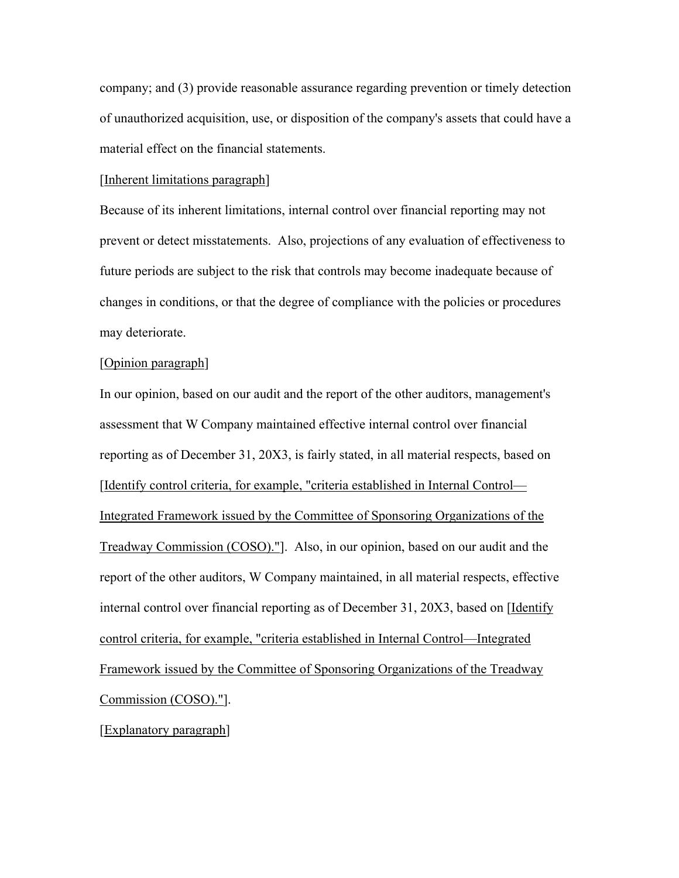company; and (3) provide reasonable assurance regarding prevention or timely detection of unauthorized acquisition, use, or disposition of the company's assets that could have a material effect on the financial statements.

#### [Inherent limitations paragraph]

Because of its inherent limitations, internal control over financial reporting may not prevent or detect misstatements. Also, projections of any evaluation of effectiveness to future periods are subject to the risk that controls may become inadequate because of changes in conditions, or that the degree of compliance with the policies or procedures may deteriorate.

### [Opinion paragraph]

In our opinion, based on our audit and the report of the other auditors, management's assessment that W Company maintained effective internal control over financial reporting as of December 31, 20X3, is fairly stated, in all material respects, based on [Identify control criteria, for example, "criteria established in Internal Control— Integrated Framework issued by the Committee of Sponsoring Organizations of the Treadway Commission (COSO)."]. Also, in our opinion, based on our audit and the report of the other auditors, W Company maintained, in all material respects, effective internal control over financial reporting as of December 31, 20X3, based on [Identify control criteria, for example, "criteria established in Internal Control—Integrated Framework issued by the Committee of Sponsoring Organizations of the Treadway Commission (COSO)."].

#### [Explanatory paragraph]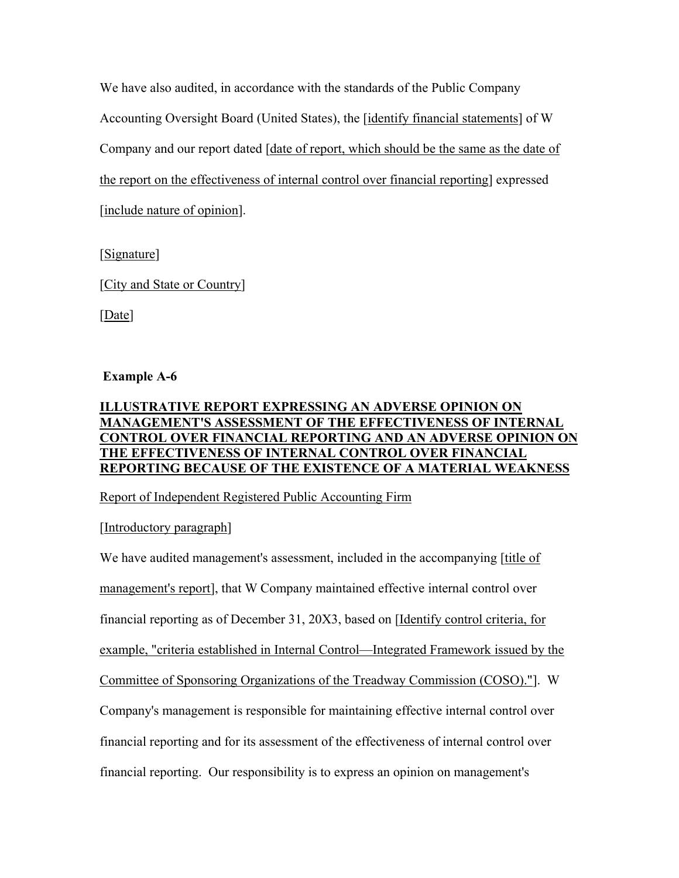We have also audited, in accordance with the standards of the Public Company Accounting Oversight Board (United States), the [identify financial statements] of W Company and our report dated [date of report, which should be the same as the date of the report on the effectiveness of internal control over financial reporting] expressed [include nature of opinion].

[Signature]

[City and State or Country]

[Date]

# **Example A-6**

# **ILLUSTRATIVE REPORT EXPRESSING AN ADVERSE OPINION ON MANAGEMENT'S ASSESSMENT OF THE EFFECTIVENESS OF INTERNAL CONTROL OVER FINANCIAL REPORTING AND AN ADVERSE OPINION ON THE EFFECTIVENESS OF INTERNAL CONTROL OVER FINANCIAL REPORTING BECAUSE OF THE EXISTENCE OF A MATERIAL WEAKNESS**

Report of Independent Registered Public Accounting Firm

[Introductory paragraph]

We have audited management's assessment, included in the accompanying [title of management's report], that W Company maintained effective internal control over financial reporting as of December 31, 20X3, based on [Identify control criteria, for example, "criteria established in Internal Control—Integrated Framework issued by the Committee of Sponsoring Organizations of the Treadway Commission (COSO)."]. W Company's management is responsible for maintaining effective internal control over financial reporting and for its assessment of the effectiveness of internal control over financial reporting. Our responsibility is to express an opinion on management's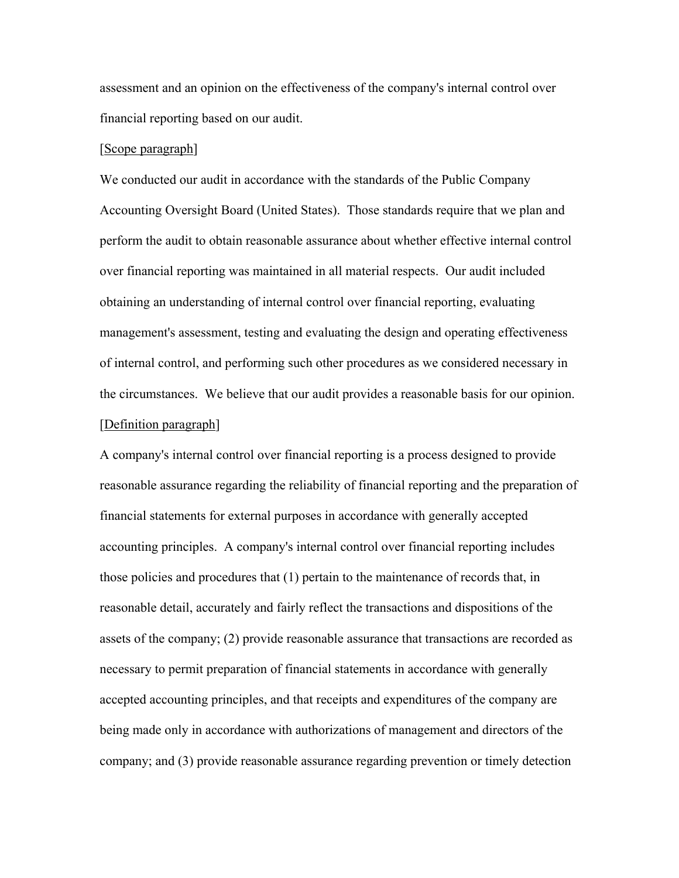assessment and an opinion on the effectiveness of the company's internal control over financial reporting based on our audit.

#### [Scope paragraph]

We conducted our audit in accordance with the standards of the Public Company Accounting Oversight Board (United States). Those standards require that we plan and perform the audit to obtain reasonable assurance about whether effective internal control over financial reporting was maintained in all material respects. Our audit included obtaining an understanding of internal control over financial reporting, evaluating management's assessment, testing and evaluating the design and operating effectiveness of internal control, and performing such other procedures as we considered necessary in the circumstances. We believe that our audit provides a reasonable basis for our opinion. [Definition paragraph]

A company's internal control over financial reporting is a process designed to provide reasonable assurance regarding the reliability of financial reporting and the preparation of financial statements for external purposes in accordance with generally accepted accounting principles. A company's internal control over financial reporting includes those policies and procedures that (1) pertain to the maintenance of records that, in reasonable detail, accurately and fairly reflect the transactions and dispositions of the assets of the company; (2) provide reasonable assurance that transactions are recorded as necessary to permit preparation of financial statements in accordance with generally accepted accounting principles, and that receipts and expenditures of the company are being made only in accordance with authorizations of management and directors of the company; and (3) provide reasonable assurance regarding prevention or timely detection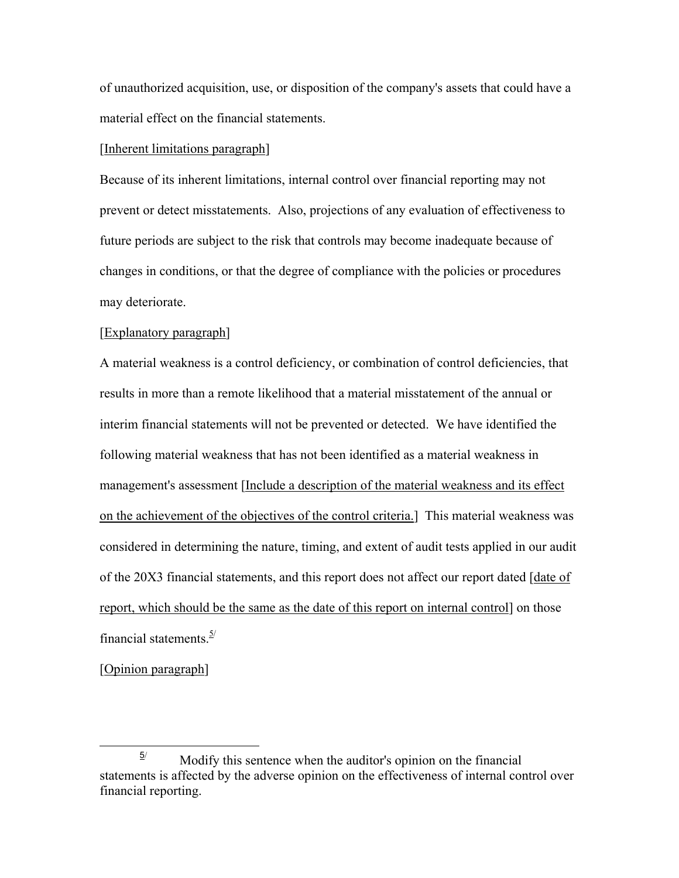of unauthorized acquisition, use, or disposition of the company's assets that could have a material effect on the financial statements.

#### [Inherent limitations paragraph]

Because of its inherent limitations, internal control over financial reporting may not prevent or detect misstatements. Also, projections of any evaluation of effectiveness to future periods are subject to the risk that controls may become inadequate because of changes in conditions, or that the degree of compliance with the policies or procedures may deteriorate.

#### [Explanatory paragraph]

A material weakness is a control deficiency, or combination of control deficiencies, that results in more than a remote likelihood that a material misstatement of the annual or interim financial statements will not be prevented or detected. We have identified the following material weakness that has not been identified as a material weakness in management's assessment [Include a description of the material weakness and its effect on the achievement of the objectives of the control criteria.] This material weakness was considered in determining the nature, timing, and extent of audit tests applied in our audit of the 20X3 financial statements, and this report does not affect our report dated [date of report, which should be the same as the date of this report on internal control] on those financial statements. $\frac{5}{2}$ 

[Opinion paragraph]

 $\frac{5}{2}$  $\frac{5}{4}$  Modify this sentence when the auditor's opinion on the financial statements is affected by the adverse opinion on the effectiveness of internal control over financial reporting.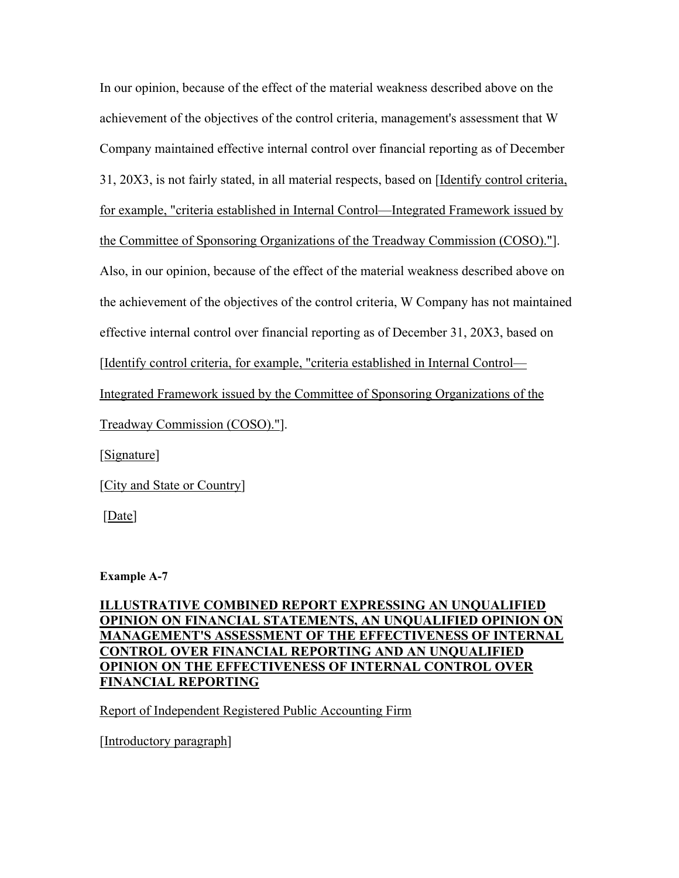In our opinion, because of the effect of the material weakness described above on the achievement of the objectives of the control criteria, management's assessment that W Company maintained effective internal control over financial reporting as of December 31, 20X3, is not fairly stated, in all material respects, based on [Identify control criteria, for example, "criteria established in Internal Control—Integrated Framework issued by the Committee of Sponsoring Organizations of the Treadway Commission (COSO)."]. Also, in our opinion, because of the effect of the material weakness described above on the achievement of the objectives of the control criteria, W Company has not maintained effective internal control over financial reporting as of December 31, 20X3, based on [Identify control criteria, for example, "criteria established in Internal Control— Integrated Framework issued by the Committee of Sponsoring Organizations of the Treadway Commission (COSO)."]. [Signature]

[City and State or Country]

[Date]

**Example A-7** 

**ILLUSTRATIVE COMBINED REPORT EXPRESSING AN UNQUALIFIED OPINION ON FINANCIAL STATEMENTS, AN UNQUALIFIED OPINION ON MANAGEMENT'S ASSESSMENT OF THE EFFECTIVENESS OF INTERNAL CONTROL OVER FINANCIAL REPORTING AND AN UNQUALIFIED OPINION ON THE EFFECTIVENESS OF INTERNAL CONTROL OVER FINANCIAL REPORTING**

Report of Independent Registered Public Accounting Firm

[Introductory paragraph]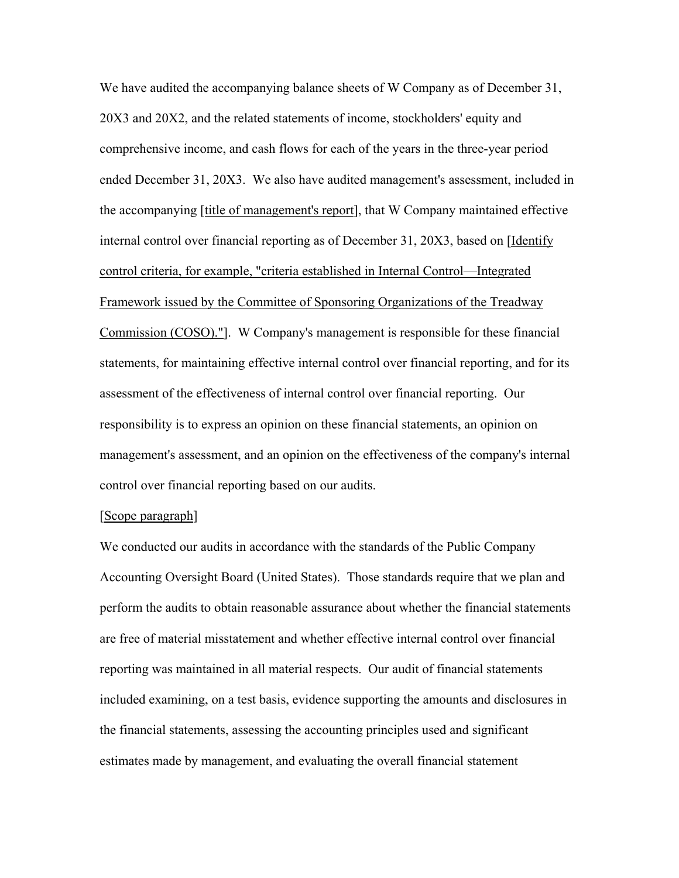We have audited the accompanying balance sheets of W Company as of December 31, 20X3 and 20X2, and the related statements of income, stockholders' equity and comprehensive income, and cash flows for each of the years in the three-year period ended December 31, 20X3. We also have audited management's assessment, included in the accompanying [title of management's report], that W Company maintained effective internal control over financial reporting as of December 31, 20X3, based on [Identify control criteria, for example, "criteria established in Internal Control—Integrated Framework issued by the Committee of Sponsoring Organizations of the Treadway Commission (COSO)."]. W Company's management is responsible for these financial statements, for maintaining effective internal control over financial reporting, and for its assessment of the effectiveness of internal control over financial reporting. Our responsibility is to express an opinion on these financial statements, an opinion on management's assessment, and an opinion on the effectiveness of the company's internal control over financial reporting based on our audits.

### [Scope paragraph]

We conducted our audits in accordance with the standards of the Public Company Accounting Oversight Board (United States). Those standards require that we plan and perform the audits to obtain reasonable assurance about whether the financial statements are free of material misstatement and whether effective internal control over financial reporting was maintained in all material respects. Our audit of financial statements included examining, on a test basis, evidence supporting the amounts and disclosures in the financial statements, assessing the accounting principles used and significant estimates made by management, and evaluating the overall financial statement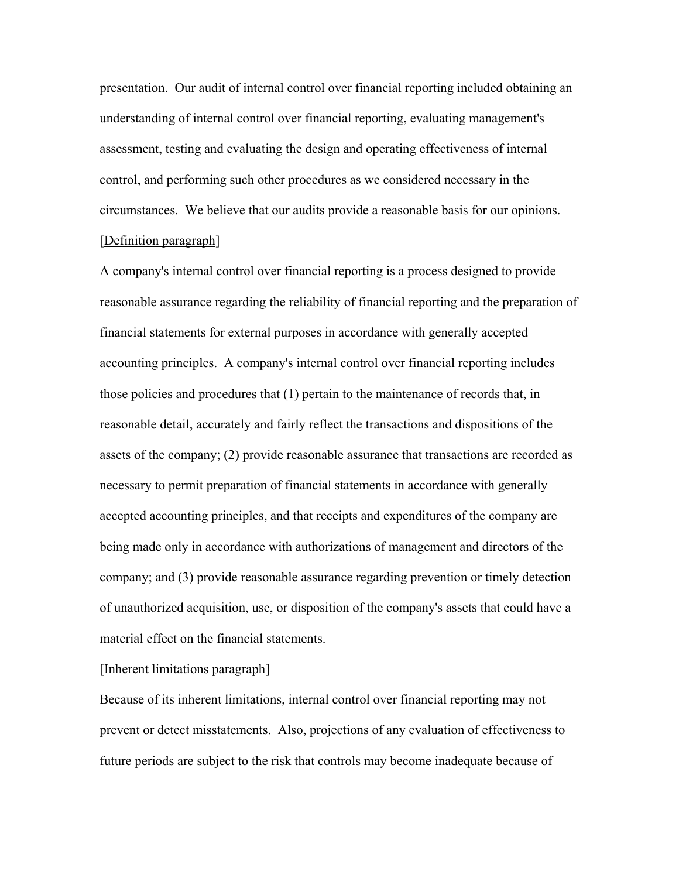presentation. Our audit of internal control over financial reporting included obtaining an understanding of internal control over financial reporting, evaluating management's assessment, testing and evaluating the design and operating effectiveness of internal control, and performing such other procedures as we considered necessary in the circumstances. We believe that our audits provide a reasonable basis for our opinions. [Definition paragraph]

A company's internal control over financial reporting is a process designed to provide reasonable assurance regarding the reliability of financial reporting and the preparation of financial statements for external purposes in accordance with generally accepted accounting principles. A company's internal control over financial reporting includes those policies and procedures that (1) pertain to the maintenance of records that, in reasonable detail, accurately and fairly reflect the transactions and dispositions of the assets of the company; (2) provide reasonable assurance that transactions are recorded as necessary to permit preparation of financial statements in accordance with generally accepted accounting principles, and that receipts and expenditures of the company are being made only in accordance with authorizations of management and directors of the company; and (3) provide reasonable assurance regarding prevention or timely detection of unauthorized acquisition, use, or disposition of the company's assets that could have a material effect on the financial statements.

### [Inherent limitations paragraph]

Because of its inherent limitations, internal control over financial reporting may not prevent or detect misstatements. Also, projections of any evaluation of effectiveness to future periods are subject to the risk that controls may become inadequate because of